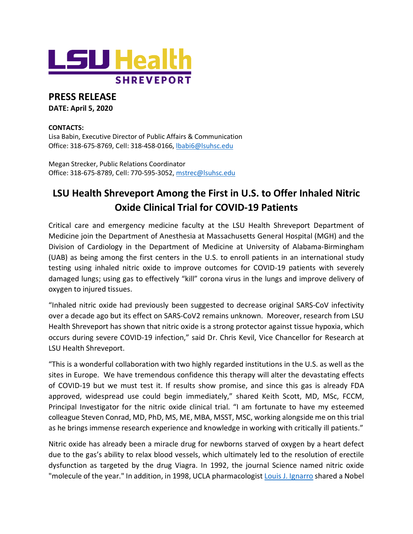

## **PRESS RELEASE**

**DATE: April 5, 2020** 

## **CONTACTS:**

Lisa Babin, Executive Director of Public Affairs & Communication Office: 318-675-8769, Cell: 318-458-0166, [lbabi6@lsuhsc.edu](mailto:lbabi6@lsuhsc.edu)

Megan Strecker, Public Relations Coordinator Office: 318-675-8789, Cell: 770-595-3052, [mstrec@lsuhsc.edu](mailto:mstrec@lsuhsc.edu)

## **LSU Health Shreveport Among the First in U.S. to Offer Inhaled Nitric Oxide Clinical Trial for COVID-19 Patients**

Critical care and emergency medicine faculty at the LSU Health Shreveport Department of Medicine join the Department of Anesthesia at Massachusetts General Hospital (MGH) and the Division of Cardiology in the Department of Medicine at University of Alabama-Birmingham (UAB) as being among the first centers in the U.S. to enroll patients in an international study testing using inhaled nitric oxide to improve outcomes for COVID-19 patients with severely damaged lungs; using gas to effectively "kill" corona virus in the lungs and improve delivery of oxygen to injured tissues.

"Inhaled nitric oxide had previously been suggested to decrease original SARS-CoV infectivity over a decade ago but its effect on SARS-CoV2 remains unknown. Moreover, research from LSU Health Shreveport has shown that nitric oxide is a strong protector against tissue hypoxia, which occurs during severe COVID-19 infection," said Dr. Chris Kevil, Vice Chancellor for Research at LSU Health Shreveport.

"This is a wonderful collaboration with two highly regarded institutions in the U.S. as well as the sites in Europe. We have tremendous confidence this therapy will alter the devastating effects of COVID-19 but we must test it. If results show promise, and since this gas is already FDA approved, widespread use could begin immediately," shared Keith Scott, MD, MSc, FCCM, Principal Investigator for the nitric oxide clinical trial. "I am fortunate to have my esteemed colleague Steven Conrad, MD, PhD, MS, ME, MBA, MSST, MSC, working alongside me on this trial as he brings immense research experience and knowledge in working with critically ill patients."

Nitric oxide has already been a miracle drug for newborns starved of oxygen by a heart defect due to the gas's ability to relax blood vessels, which ultimately led to the resolution of erectile dysfunction as targeted by the drug Viagra. In 1992, the journal Science named nitric oxide "molecule of the year." In addition, in 1998, UCLA pharmacologist [Louis J. Ignarro](https://www.nobelprize.org/prizes/medicine/1998/ignarro/facts/) shared a Nobel